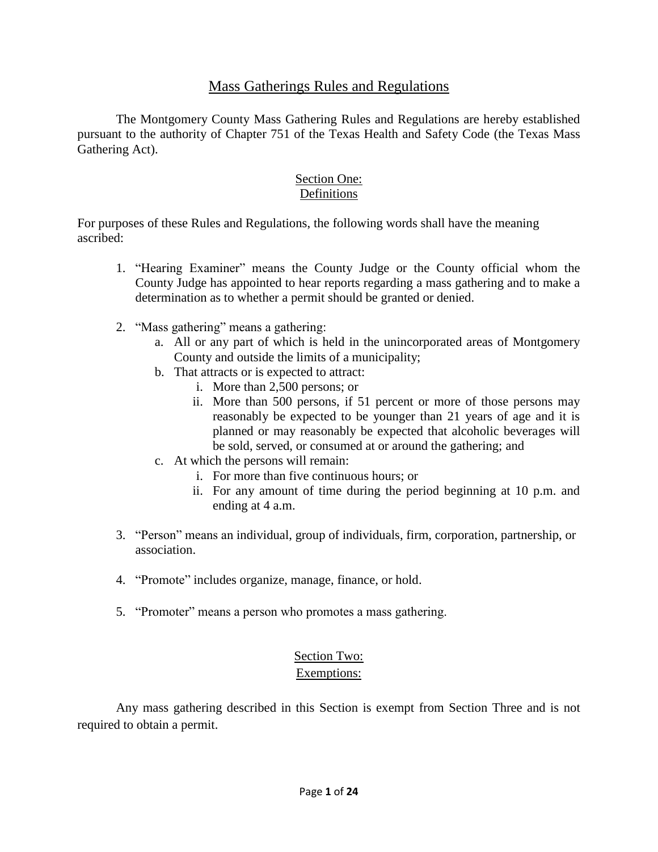## Mass Gatherings Rules and Regulations

The Montgomery County Mass Gathering Rules and Regulations are hereby established pursuant to the authority of Chapter 751 of the Texas Health and Safety Code (the Texas Mass Gathering Act).

#### Section One: Definitions

For purposes of these Rules and Regulations, the following words shall have the meaning ascribed:

- 1. "Hearing Examiner" means the County Judge or the County official whom the County Judge has appointed to hear reports regarding a mass gathering and to make a determination as to whether a permit should be granted or denied.
- 2. "Mass gathering" means a gathering:
	- a. All or any part of which is held in the unincorporated areas of Montgomery County and outside the limits of a municipality;
	- b. That attracts or is expected to attract:
		- i. More than 2,500 persons; or
		- ii. More than 500 persons, if 51 percent or more of those persons may reasonably be expected to be younger than 21 years of age and it is planned or may reasonably be expected that alcoholic beverages will be sold, served, or consumed at or around the gathering; and
	- c. At which the persons will remain:
		- i. For more than five continuous hours; or
		- ii. For any amount of time during the period beginning at 10 p.m. and ending at 4 a.m.
- 3. "Person" means an individual, group of individuals, firm, corporation, partnership, or association.
- 4. "Promote" includes organize, manage, finance, or hold.
- 5. "Promoter" means a person who promotes a mass gathering.

# Section Two:

## Exemptions:

Any mass gathering described in this Section is exempt from Section Three and is not required to obtain a permit.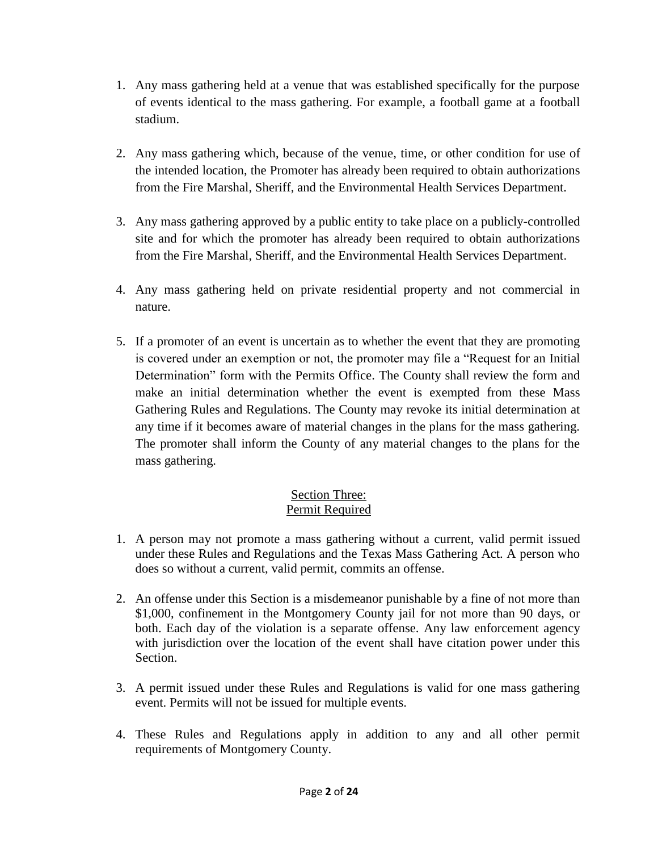- 1. Any mass gathering held at a venue that was established specifically for the purpose of events identical to the mass gathering. For example, a football game at a football stadium.
- 2. Any mass gathering which, because of the venue, time, or other condition for use of the intended location, the Promoter has already been required to obtain authorizations from the Fire Marshal, Sheriff, and the Environmental Health Services Department.
- 3. Any mass gathering approved by a public entity to take place on a publicly-controlled site and for which the promoter has already been required to obtain authorizations from the Fire Marshal, Sheriff, and the Environmental Health Services Department.
- 4. Any mass gathering held on private residential property and not commercial in nature.
- 5. If a promoter of an event is uncertain as to whether the event that they are promoting is covered under an exemption or not, the promoter may file a "Request for an Initial Determination" form with the Permits Office. The County shall review the form and make an initial determination whether the event is exempted from these Mass Gathering Rules and Regulations. The County may revoke its initial determination at any time if it becomes aware of material changes in the plans for the mass gathering. The promoter shall inform the County of any material changes to the plans for the mass gathering.

### Section Three: Permit Required

- 1. A person may not promote a mass gathering without a current, valid permit issued under these Rules and Regulations and the Texas Mass Gathering Act. A person who does so without a current, valid permit, commits an offense.
- 2. An offense under this Section is a misdemeanor punishable by a fine of not more than \$1,000, confinement in the Montgomery County jail for not more than 90 days, or both. Each day of the violation is a separate offense. Any law enforcement agency with jurisdiction over the location of the event shall have citation power under this Section.
- 3. A permit issued under these Rules and Regulations is valid for one mass gathering event. Permits will not be issued for multiple events.
- 4. These Rules and Regulations apply in addition to any and all other permit requirements of Montgomery County.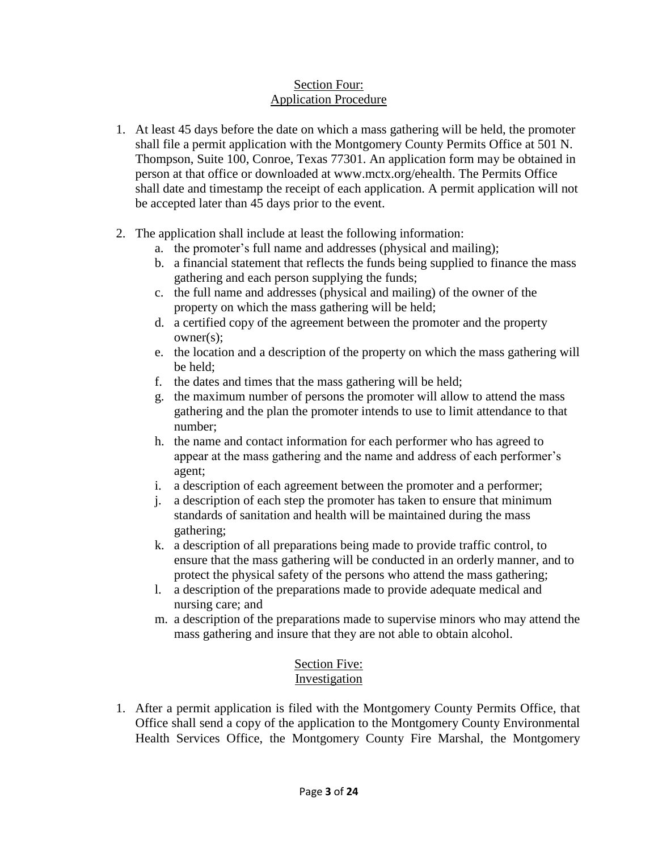## Section Four: Application Procedure

- 1. At least 45 days before the date on which a mass gathering will be held, the promoter shall file a permit application with the Montgomery County Permits Office at 501 N. Thompson, Suite 100, Conroe, Texas 77301. An application form may be obtained in person at that office or downloaded at www.mctx.org/ehealth. The Permits Office shall date and timestamp the receipt of each application. A permit application will not be accepted later than 45 days prior to the event.
- 2. The application shall include at least the following information:
	- a. the promoter's full name and addresses (physical and mailing);
	- b. a financial statement that reflects the funds being supplied to finance the mass gathering and each person supplying the funds;
	- c. the full name and addresses (physical and mailing) of the owner of the property on which the mass gathering will be held;
	- d. a certified copy of the agreement between the promoter and the property owner(s);
	- e. the location and a description of the property on which the mass gathering will be held;
	- f. the dates and times that the mass gathering will be held;
	- g. the maximum number of persons the promoter will allow to attend the mass gathering and the plan the promoter intends to use to limit attendance to that number;
	- h. the name and contact information for each performer who has agreed to appear at the mass gathering and the name and address of each performer's agent;
	- i. a description of each agreement between the promoter and a performer;
	- j. a description of each step the promoter has taken to ensure that minimum standards of sanitation and health will be maintained during the mass gathering;
	- k. a description of all preparations being made to provide traffic control, to ensure that the mass gathering will be conducted in an orderly manner, and to protect the physical safety of the persons who attend the mass gathering;
	- l. a description of the preparations made to provide adequate medical and nursing care; and
	- m. a description of the preparations made to supervise minors who may attend the mass gathering and insure that they are not able to obtain alcohol.

#### Section Five: Investigation

1. After a permit application is filed with the Montgomery County Permits Office, that Office shall send a copy of the application to the Montgomery County Environmental Health Services Office, the Montgomery County Fire Marshal, the Montgomery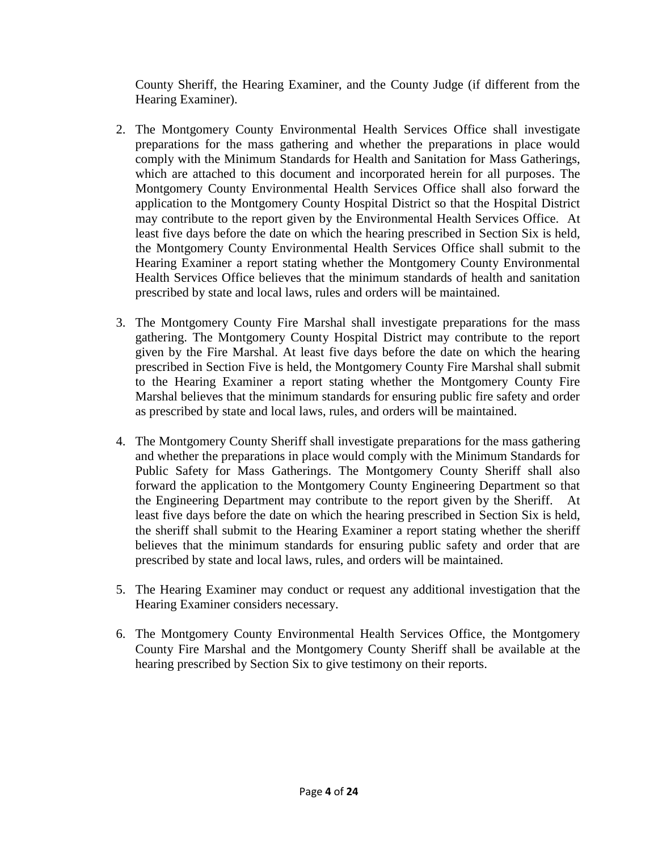County Sheriff, the Hearing Examiner, and the County Judge (if different from the Hearing Examiner).

- 2. The Montgomery County Environmental Health Services Office shall investigate preparations for the mass gathering and whether the preparations in place would comply with the Minimum Standards for Health and Sanitation for Mass Gatherings, which are attached to this document and incorporated herein for all purposes. The Montgomery County Environmental Health Services Office shall also forward the application to the Montgomery County Hospital District so that the Hospital District may contribute to the report given by the Environmental Health Services Office. At least five days before the date on which the hearing prescribed in Section Six is held, the Montgomery County Environmental Health Services Office shall submit to the Hearing Examiner a report stating whether the Montgomery County Environmental Health Services Office believes that the minimum standards of health and sanitation prescribed by state and local laws, rules and orders will be maintained.
- 3. The Montgomery County Fire Marshal shall investigate preparations for the mass gathering. The Montgomery County Hospital District may contribute to the report given by the Fire Marshal. At least five days before the date on which the hearing prescribed in Section Five is held, the Montgomery County Fire Marshal shall submit to the Hearing Examiner a report stating whether the Montgomery County Fire Marshal believes that the minimum standards for ensuring public fire safety and order as prescribed by state and local laws, rules, and orders will be maintained.
- 4. The Montgomery County Sheriff shall investigate preparations for the mass gathering and whether the preparations in place would comply with the Minimum Standards for Public Safety for Mass Gatherings. The Montgomery County Sheriff shall also forward the application to the Montgomery County Engineering Department so that the Engineering Department may contribute to the report given by the Sheriff. At least five days before the date on which the hearing prescribed in Section Six is held, the sheriff shall submit to the Hearing Examiner a report stating whether the sheriff believes that the minimum standards for ensuring public safety and order that are prescribed by state and local laws, rules, and orders will be maintained.
- 5. The Hearing Examiner may conduct or request any additional investigation that the Hearing Examiner considers necessary.
- 6. The Montgomery County Environmental Health Services Office, the Montgomery County Fire Marshal and the Montgomery County Sheriff shall be available at the hearing prescribed by Section Six to give testimony on their reports.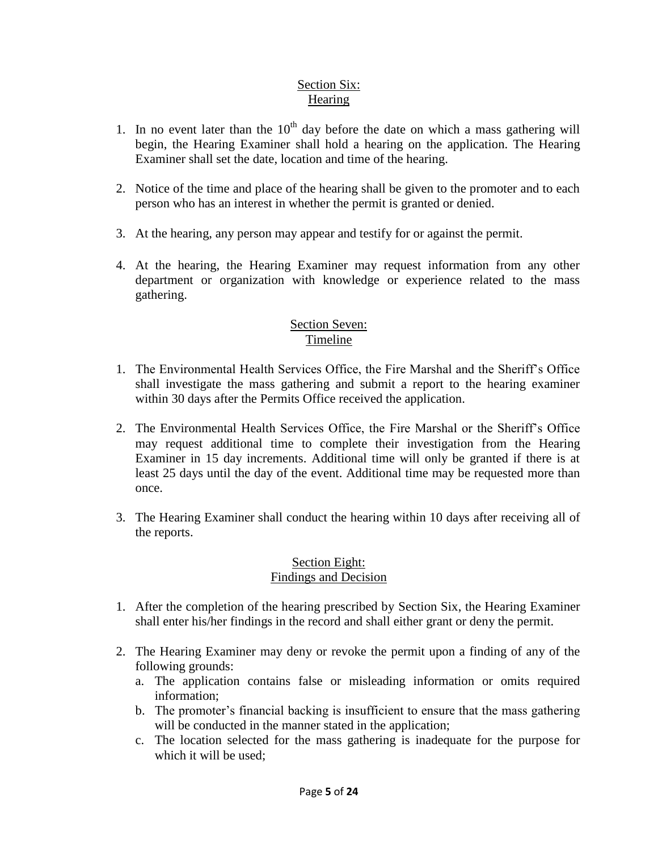#### Section Six: Hearing

- 1. In no event later than the  $10<sup>th</sup>$  day before the date on which a mass gathering will begin, the Hearing Examiner shall hold a hearing on the application. The Hearing Examiner shall set the date, location and time of the hearing.
- 2. Notice of the time and place of the hearing shall be given to the promoter and to each person who has an interest in whether the permit is granted or denied.
- 3. At the hearing, any person may appear and testify for or against the permit.
- 4. At the hearing, the Hearing Examiner may request information from any other department or organization with knowledge or experience related to the mass gathering.

## Section Seven: Timeline

- 1. The Environmental Health Services Office, the Fire Marshal and the Sheriff's Office shall investigate the mass gathering and submit a report to the hearing examiner within 30 days after the Permits Office received the application.
- 2. The Environmental Health Services Office, the Fire Marshal or the Sheriff's Office may request additional time to complete their investigation from the Hearing Examiner in 15 day increments. Additional time will only be granted if there is at least 25 days until the day of the event. Additional time may be requested more than once.
- 3. The Hearing Examiner shall conduct the hearing within 10 days after receiving all of the reports.

#### Section Eight: Findings and Decision

- 1. After the completion of the hearing prescribed by Section Six, the Hearing Examiner shall enter his/her findings in the record and shall either grant or deny the permit.
- 2. The Hearing Examiner may deny or revoke the permit upon a finding of any of the following grounds:
	- a. The application contains false or misleading information or omits required information;
	- b. The promoter's financial backing is insufficient to ensure that the mass gathering will be conducted in the manner stated in the application;
	- c. The location selected for the mass gathering is inadequate for the purpose for which it will be used;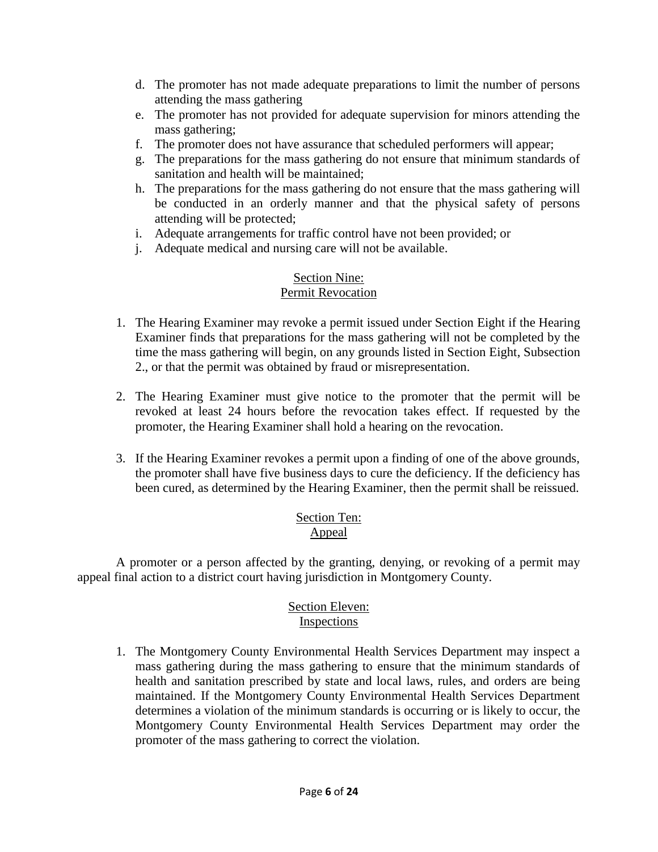- d. The promoter has not made adequate preparations to limit the number of persons attending the mass gathering
- e. The promoter has not provided for adequate supervision for minors attending the mass gathering;
- f. The promoter does not have assurance that scheduled performers will appear;
- g. The preparations for the mass gathering do not ensure that minimum standards of sanitation and health will be maintained;
- h. The preparations for the mass gathering do not ensure that the mass gathering will be conducted in an orderly manner and that the physical safety of persons attending will be protected;
- i. Adequate arrangements for traffic control have not been provided; or
- j. Adequate medical and nursing care will not be available.

#### Section Nine: Permit Revocation

- 1. The Hearing Examiner may revoke a permit issued under Section Eight if the Hearing Examiner finds that preparations for the mass gathering will not be completed by the time the mass gathering will begin, on any grounds listed in Section Eight, Subsection 2., or that the permit was obtained by fraud or misrepresentation.
- 2. The Hearing Examiner must give notice to the promoter that the permit will be revoked at least 24 hours before the revocation takes effect. If requested by the promoter, the Hearing Examiner shall hold a hearing on the revocation.
- 3. If the Hearing Examiner revokes a permit upon a finding of one of the above grounds, the promoter shall have five business days to cure the deficiency. If the deficiency has been cured, as determined by the Hearing Examiner, then the permit shall be reissued.

### Section Ten: Appeal

A promoter or a person affected by the granting, denying, or revoking of a permit may appeal final action to a district court having jurisdiction in Montgomery County.

## Section Eleven: Inspections

1. The Montgomery County Environmental Health Services Department may inspect a mass gathering during the mass gathering to ensure that the minimum standards of health and sanitation prescribed by state and local laws, rules, and orders are being maintained. If the Montgomery County Environmental Health Services Department determines a violation of the minimum standards is occurring or is likely to occur, the Montgomery County Environmental Health Services Department may order the promoter of the mass gathering to correct the violation.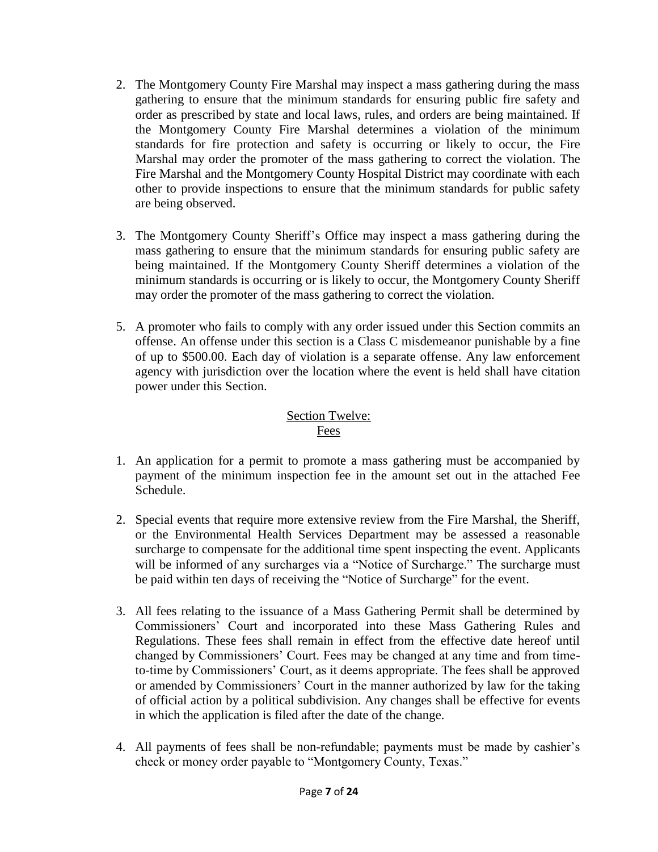- 2. The Montgomery County Fire Marshal may inspect a mass gathering during the mass gathering to ensure that the minimum standards for ensuring public fire safety and order as prescribed by state and local laws, rules, and orders are being maintained. If the Montgomery County Fire Marshal determines a violation of the minimum standards for fire protection and safety is occurring or likely to occur, the Fire Marshal may order the promoter of the mass gathering to correct the violation. The Fire Marshal and the Montgomery County Hospital District may coordinate with each other to provide inspections to ensure that the minimum standards for public safety are being observed.
- 3. The Montgomery County Sheriff's Office may inspect a mass gathering during the mass gathering to ensure that the minimum standards for ensuring public safety are being maintained. If the Montgomery County Sheriff determines a violation of the minimum standards is occurring or is likely to occur, the Montgomery County Sheriff may order the promoter of the mass gathering to correct the violation.
- 5. A promoter who fails to comply with any order issued under this Section commits an offense. An offense under this section is a Class C misdemeanor punishable by a fine of up to \$500.00. Each day of violation is a separate offense. Any law enforcement agency with jurisdiction over the location where the event is held shall have citation power under this Section.

#### Section Twelve: Fees

- 1. An application for a permit to promote a mass gathering must be accompanied by payment of the minimum inspection fee in the amount set out in the attached Fee Schedule.
- 2. Special events that require more extensive review from the Fire Marshal, the Sheriff, or the Environmental Health Services Department may be assessed a reasonable surcharge to compensate for the additional time spent inspecting the event. Applicants will be informed of any surcharges via a "Notice of Surcharge." The surcharge must be paid within ten days of receiving the "Notice of Surcharge" for the event.
- 3. All fees relating to the issuance of a Mass Gathering Permit shall be determined by Commissioners' Court and incorporated into these Mass Gathering Rules and Regulations. These fees shall remain in effect from the effective date hereof until changed by Commissioners' Court. Fees may be changed at any time and from timeto-time by Commissioners' Court, as it deems appropriate. The fees shall be approved or amended by Commissioners' Court in the manner authorized by law for the taking of official action by a political subdivision. Any changes shall be effective for events in which the application is filed after the date of the change.
- 4. All payments of fees shall be non-refundable; payments must be made by cashier's check or money order payable to "Montgomery County, Texas."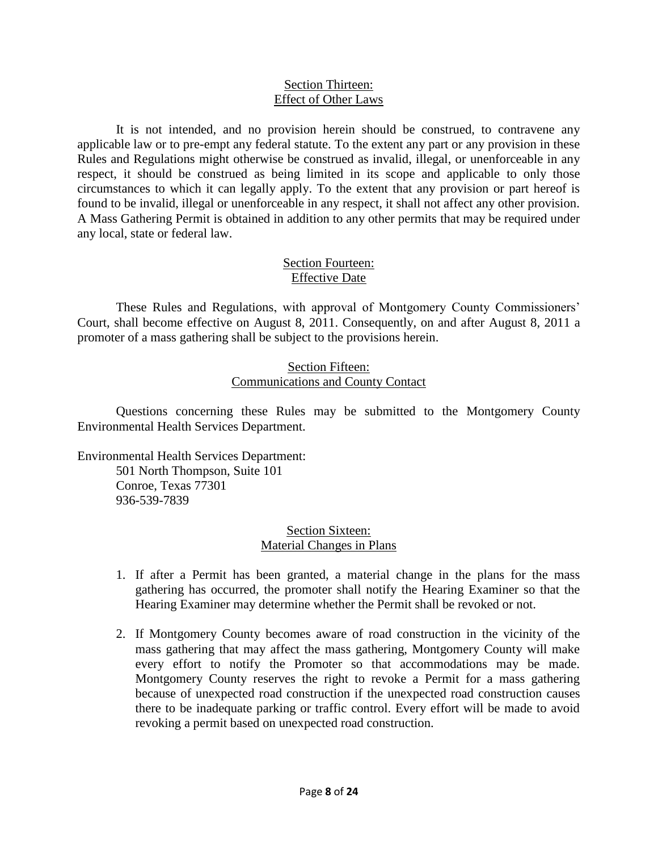#### Section Thirteen: Effect of Other Laws

It is not intended, and no provision herein should be construed, to contravene any applicable law or to pre-empt any federal statute. To the extent any part or any provision in these Rules and Regulations might otherwise be construed as invalid, illegal, or unenforceable in any respect, it should be construed as being limited in its scope and applicable to only those circumstances to which it can legally apply. To the extent that any provision or part hereof is found to be invalid, illegal or unenforceable in any respect, it shall not affect any other provision. A Mass Gathering Permit is obtained in addition to any other permits that may be required under any local, state or federal law.

#### Section Fourteen: Effective Date

These Rules and Regulations, with approval of Montgomery County Commissioners' Court, shall become effective on August 8, 2011. Consequently, on and after August 8, 2011 a promoter of a mass gathering shall be subject to the provisions herein.

#### Section Fifteen: Communications and County Contact

Questions concerning these Rules may be submitted to the Montgomery County Environmental Health Services Department.

Environmental Health Services Department: 501 North Thompson, Suite 101 Conroe, Texas 77301

936-539-7839

## Section Sixteen: Material Changes in Plans

- 1. If after a Permit has been granted, a material change in the plans for the mass gathering has occurred, the promoter shall notify the Hearing Examiner so that the Hearing Examiner may determine whether the Permit shall be revoked or not.
- 2. If Montgomery County becomes aware of road construction in the vicinity of the mass gathering that may affect the mass gathering, Montgomery County will make every effort to notify the Promoter so that accommodations may be made. Montgomery County reserves the right to revoke a Permit for a mass gathering because of unexpected road construction if the unexpected road construction causes there to be inadequate parking or traffic control. Every effort will be made to avoid revoking a permit based on unexpected road construction.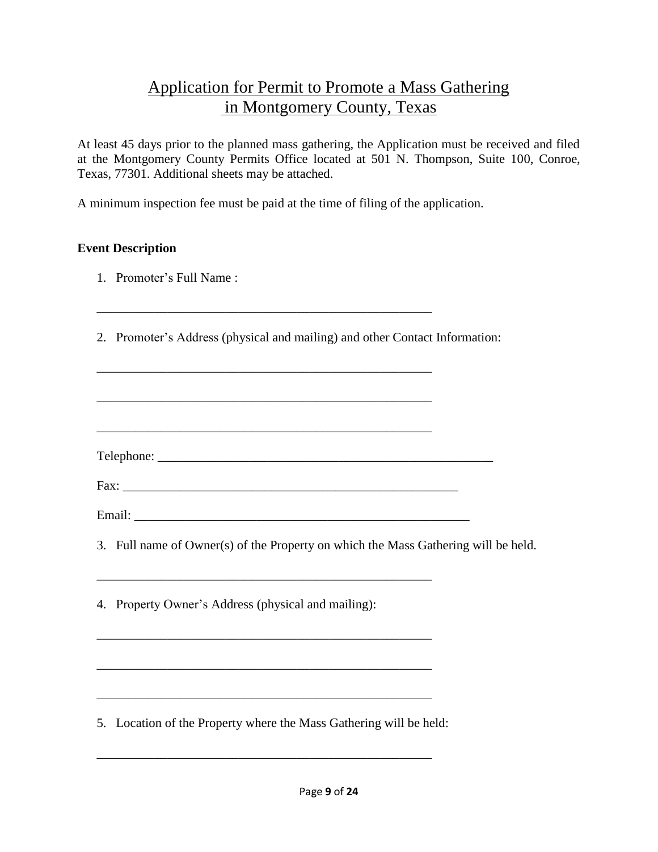# Application for Permit to Promote a Mass Gathering in Montgomery County, Texas

At least 45 days prior to the planned mass gathering, the Application must be received and filed at the Montgomery County Permits Office located at 501 N. Thompson, Suite 100, Conroe, Texas, 77301. Additional sheets may be attached.

A minimum inspection fee must be paid at the time of filing of the application.

\_\_\_\_\_\_\_\_\_\_\_\_\_\_\_\_\_\_\_\_\_\_\_\_\_\_\_\_\_\_\_\_\_\_\_\_\_\_\_\_\_\_\_\_\_\_\_\_\_\_\_\_

\_\_\_\_\_\_\_\_\_\_\_\_\_\_\_\_\_\_\_\_\_\_\_\_\_\_\_\_\_\_\_\_\_\_\_\_\_\_\_\_\_\_\_\_\_\_\_\_\_\_\_\_

\_\_\_\_\_\_\_\_\_\_\_\_\_\_\_\_\_\_\_\_\_\_\_\_\_\_\_\_\_\_\_\_\_\_\_\_\_\_\_\_\_\_\_\_\_\_\_\_\_\_\_\_

\_\_\_\_\_\_\_\_\_\_\_\_\_\_\_\_\_\_\_\_\_\_\_\_\_\_\_\_\_\_\_\_\_\_\_\_\_\_\_\_\_\_\_\_\_\_\_\_\_\_\_\_

\_\_\_\_\_\_\_\_\_\_\_\_\_\_\_\_\_\_\_\_\_\_\_\_\_\_\_\_\_\_\_\_\_\_\_\_\_\_\_\_\_\_\_\_\_\_\_\_\_\_\_\_

\_\_\_\_\_\_\_\_\_\_\_\_\_\_\_\_\_\_\_\_\_\_\_\_\_\_\_\_\_\_\_\_\_\_\_\_\_\_\_\_\_\_\_\_\_\_\_\_\_\_\_\_

\_\_\_\_\_\_\_\_\_\_\_\_\_\_\_\_\_\_\_\_\_\_\_\_\_\_\_\_\_\_\_\_\_\_\_\_\_\_\_\_\_\_\_\_\_\_\_\_\_\_\_\_

\_\_\_\_\_\_\_\_\_\_\_\_\_\_\_\_\_\_\_\_\_\_\_\_\_\_\_\_\_\_\_\_\_\_\_\_\_\_\_\_\_\_\_\_\_\_\_\_\_\_\_\_

\_\_\_\_\_\_\_\_\_\_\_\_\_\_\_\_\_\_\_\_\_\_\_\_\_\_\_\_\_\_\_\_\_\_\_\_\_\_\_\_\_\_\_\_\_\_\_\_\_\_\_\_

## **Event Description**

- 1. Promoter's Full Name :
- 2. Promoter's Address (physical and mailing) and other Contact Information:

Telephone: \_\_\_\_\_\_\_\_\_\_\_\_\_\_\_\_\_\_\_\_\_\_\_\_\_\_\_\_\_\_\_\_\_\_\_\_\_\_\_\_\_\_\_\_\_\_\_\_\_\_\_\_

| Fax:   |  |  |  |
|--------|--|--|--|
|        |  |  |  |
| Email: |  |  |  |

3. Full name of Owner(s) of the Property on which the Mass Gathering will be held.

4. Property Owner's Address (physical and mailing):

5. Location of the Property where the Mass Gathering will be held: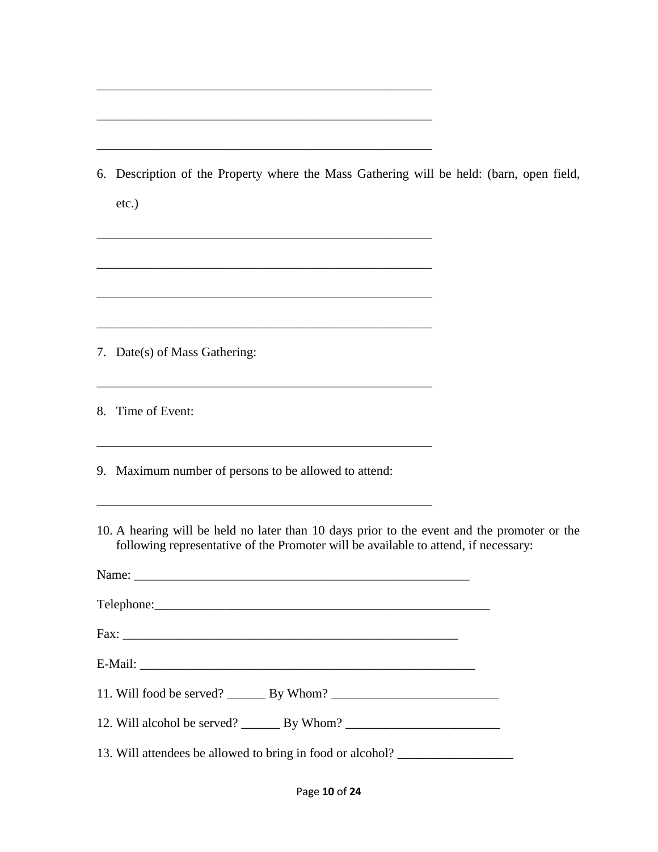| 6. Description of the Property where the Mass Gathering will be held: (barn, open field,<br>$etc.$ )                                                                               |
|------------------------------------------------------------------------------------------------------------------------------------------------------------------------------------|
|                                                                                                                                                                                    |
| 7. Date(s) of Mass Gathering:                                                                                                                                                      |
| <u> 1989 - Johann Stein, marwolaethau a bhann an t-Amhair ann an t-Amhair an t-Amhair an t-Amhair an t-Amhair an</u><br>8. Time of Event:                                          |
| 9. Maximum number of persons to be allowed to attend:                                                                                                                              |
| 10. A hearing will be held no later than 10 days prior to the event and the promoter or the<br>following representative of the Promoter will be available to attend, if necessary: |
|                                                                                                                                                                                    |
|                                                                                                                                                                                    |
|                                                                                                                                                                                    |
|                                                                                                                                                                                    |
|                                                                                                                                                                                    |
| 12. Will alcohol be served? _________ By Whom? _________________________________                                                                                                   |
| 13. Will attendees be allowed to bring in food or alcohol? _____________________                                                                                                   |

\_\_\_\_\_\_\_\_\_\_\_\_\_\_\_\_\_\_\_\_\_\_\_\_\_\_\_\_\_\_\_\_\_\_\_\_\_\_\_\_\_\_\_\_\_\_\_\_\_\_\_\_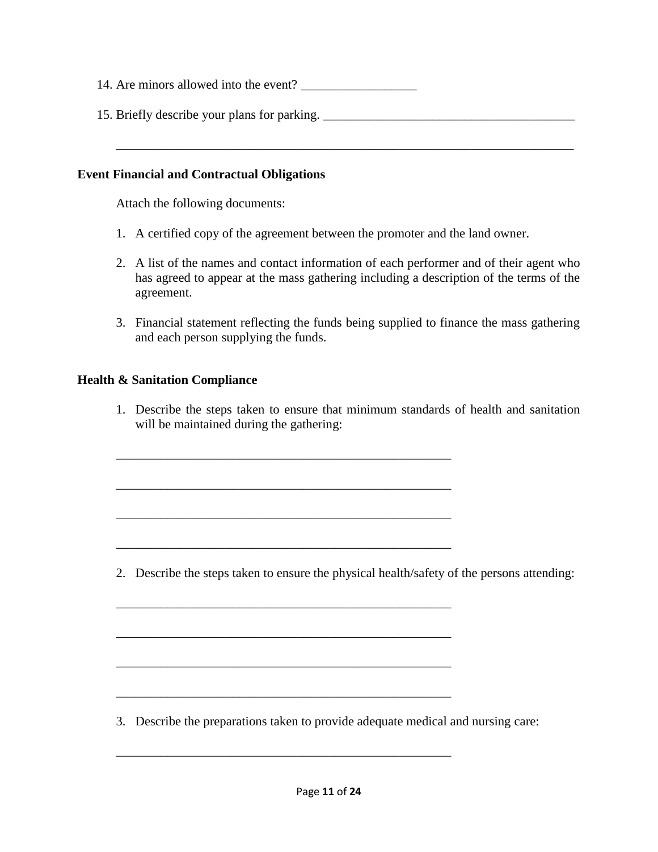| 14. Are minors allowed into the event? |  |
|----------------------------------------|--|
|----------------------------------------|--|

15. Briefly describe your plans for parking. \_\_\_\_\_\_\_\_\_\_\_\_\_\_\_\_\_\_\_\_\_\_\_\_\_\_\_\_\_\_\_\_\_\_\_

\_\_\_\_\_\_\_\_\_\_\_\_\_\_\_\_\_\_\_\_\_\_\_\_\_\_\_\_\_\_\_\_\_\_\_\_\_\_\_\_\_\_\_\_\_\_\_\_\_\_\_\_\_\_\_\_\_\_\_\_\_\_\_\_\_\_\_\_\_\_\_

#### **Event Financial and Contractual Obligations**

Attach the following documents:

- 1. A certified copy of the agreement between the promoter and the land owner.
- 2. A list of the names and contact information of each performer and of their agent who has agreed to appear at the mass gathering including a description of the terms of the agreement.
- 3. Financial statement reflecting the funds being supplied to finance the mass gathering and each person supplying the funds.

#### **Health & Sanitation Compliance**

1. Describe the steps taken to ensure that minimum standards of health and sanitation will be maintained during the gathering:

\_\_\_\_\_\_\_\_\_\_\_\_\_\_\_\_\_\_\_\_\_\_\_\_\_\_\_\_\_\_\_\_\_\_\_\_\_\_\_\_\_\_\_\_\_\_\_\_\_\_\_\_

\_\_\_\_\_\_\_\_\_\_\_\_\_\_\_\_\_\_\_\_\_\_\_\_\_\_\_\_\_\_\_\_\_\_\_\_\_\_\_\_\_\_\_\_\_\_\_\_\_\_\_\_

\_\_\_\_\_\_\_\_\_\_\_\_\_\_\_\_\_\_\_\_\_\_\_\_\_\_\_\_\_\_\_\_\_\_\_\_\_\_\_\_\_\_\_\_\_\_\_\_\_\_\_\_

\_\_\_\_\_\_\_\_\_\_\_\_\_\_\_\_\_\_\_\_\_\_\_\_\_\_\_\_\_\_\_\_\_\_\_\_\_\_\_\_\_\_\_\_\_\_\_\_\_\_\_\_

\_\_\_\_\_\_\_\_\_\_\_\_\_\_\_\_\_\_\_\_\_\_\_\_\_\_\_\_\_\_\_\_\_\_\_\_\_\_\_\_\_\_\_\_\_\_\_\_\_\_\_\_

\_\_\_\_\_\_\_\_\_\_\_\_\_\_\_\_\_\_\_\_\_\_\_\_\_\_\_\_\_\_\_\_\_\_\_\_\_\_\_\_\_\_\_\_\_\_\_\_\_\_\_\_

\_\_\_\_\_\_\_\_\_\_\_\_\_\_\_\_\_\_\_\_\_\_\_\_\_\_\_\_\_\_\_\_\_\_\_\_\_\_\_\_\_\_\_\_\_\_\_\_\_\_\_\_

\_\_\_\_\_\_\_\_\_\_\_\_\_\_\_\_\_\_\_\_\_\_\_\_\_\_\_\_\_\_\_\_\_\_\_\_\_\_\_\_\_\_\_\_\_\_\_\_\_\_\_\_

\_\_\_\_\_\_\_\_\_\_\_\_\_\_\_\_\_\_\_\_\_\_\_\_\_\_\_\_\_\_\_\_\_\_\_\_\_\_\_\_\_\_\_\_\_\_\_\_\_\_\_\_

2. Describe the steps taken to ensure the physical health/safety of the persons attending:

3. Describe the preparations taken to provide adequate medical and nursing care: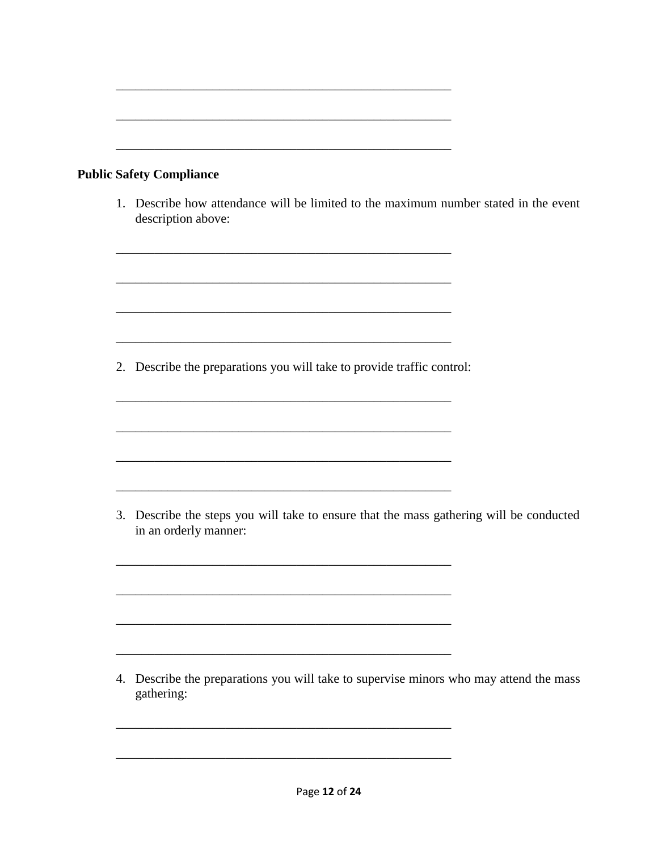| <b>Public Safety Compliance</b>                                                                                                                                                                                                                                                                         |
|---------------------------------------------------------------------------------------------------------------------------------------------------------------------------------------------------------------------------------------------------------------------------------------------------------|
| 1. Describe how attendance will be limited to the maximum number stated in the event<br>description above:                                                                                                                                                                                              |
|                                                                                                                                                                                                                                                                                                         |
| 2. Describe the preparations you will take to provide traffic control:<br>the control of the control of the control of the control of the control of the control of the control of the control of the control of the control of the control of the control of the control of the control of the control |
|                                                                                                                                                                                                                                                                                                         |
| 3. Describe the steps you will take to ensure that the mass gathering will be conducted<br>in an orderly manner:                                                                                                                                                                                        |
|                                                                                                                                                                                                                                                                                                         |
|                                                                                                                                                                                                                                                                                                         |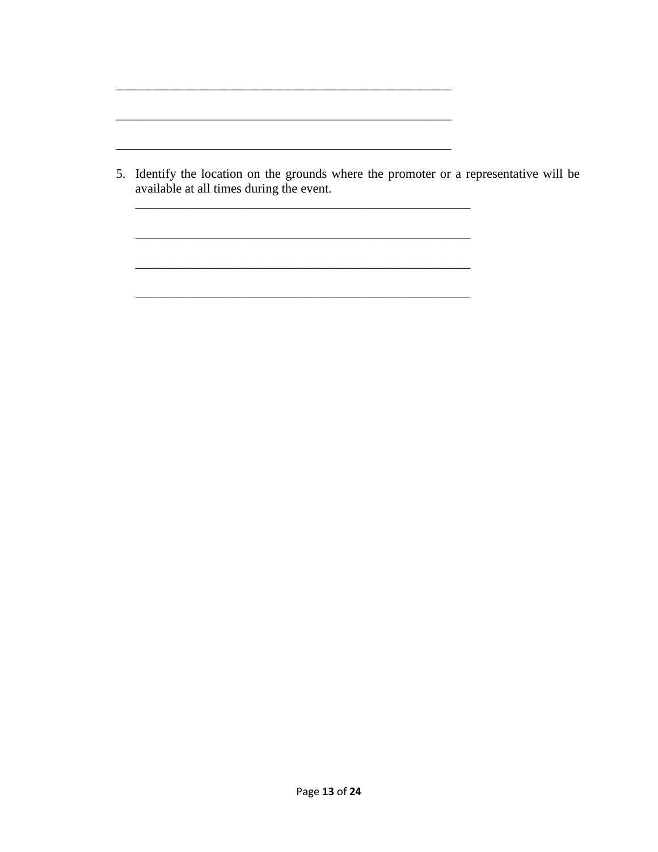5. Identify the location on the grounds where the promoter or a representative will be available at all times during the event.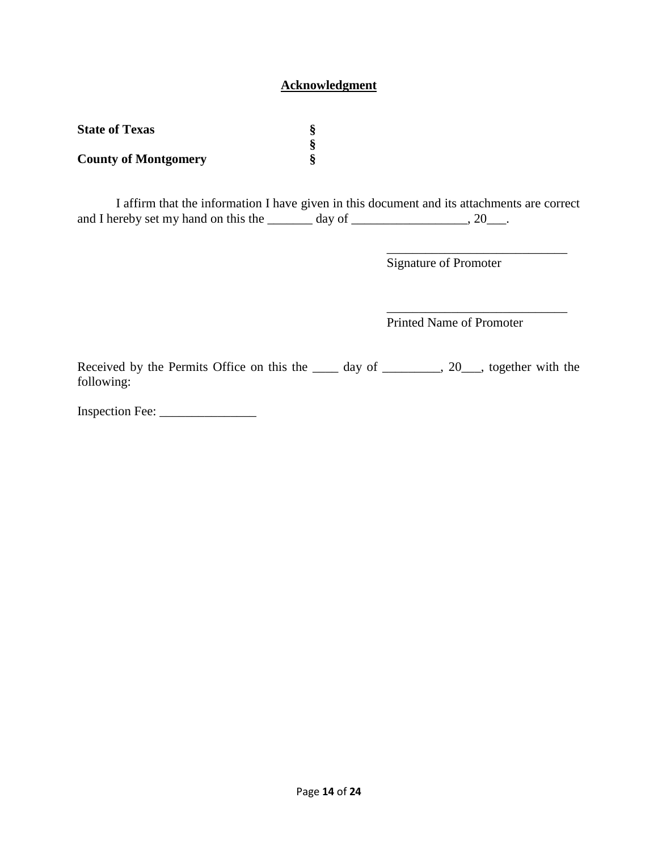## **Acknowledgment**

| <b>State of Texas</b>       |  |
|-----------------------------|--|
|                             |  |
| <b>County of Montgomery</b> |  |

I affirm that the information I have given in this document and its attachments are correct and I hereby set my hand on this the  $\_\_\_\_\_$  day of  $\_\_\_\_\_\_\_\_$ , 20 $\_\_\_\_\$ .

Signature of Promoter

\_\_\_\_\_\_\_\_\_\_\_\_\_\_\_\_\_\_\_\_\_\_\_\_\_\_\_\_

\_\_\_\_\_\_\_\_\_\_\_\_\_\_\_\_\_\_\_\_\_\_\_\_\_\_\_\_

Printed Name of Promoter

Received by the Permits Office on this the \_\_\_\_ day of \_\_\_\_\_\_\_, 20\_\_, together with the following:

Inspection Fee: \_\_\_\_\_\_\_\_\_\_\_\_\_\_\_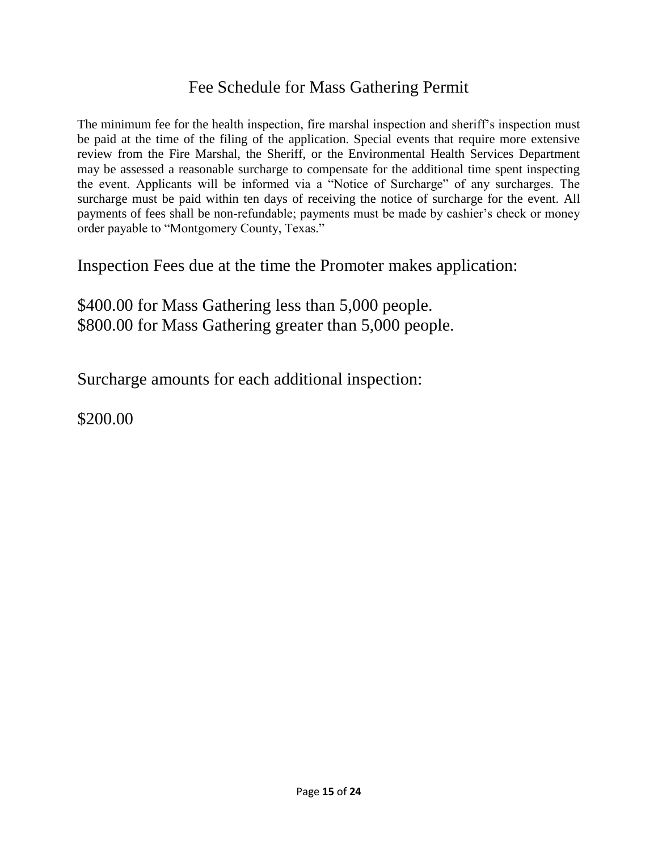## Fee Schedule for Mass Gathering Permit

The minimum fee for the health inspection, fire marshal inspection and sheriff's inspection must be paid at the time of the filing of the application. Special events that require more extensive review from the Fire Marshal, the Sheriff, or the Environmental Health Services Department may be assessed a reasonable surcharge to compensate for the additional time spent inspecting the event. Applicants will be informed via a "Notice of Surcharge" of any surcharges. The surcharge must be paid within ten days of receiving the notice of surcharge for the event. All payments of fees shall be non-refundable; payments must be made by cashier's check or money order payable to "Montgomery County, Texas."

Inspection Fees due at the time the Promoter makes application:

\$400.00 for Mass Gathering less than 5,000 people. \$800.00 for Mass Gathering greater than 5,000 people.

Surcharge amounts for each additional inspection:

\$200.00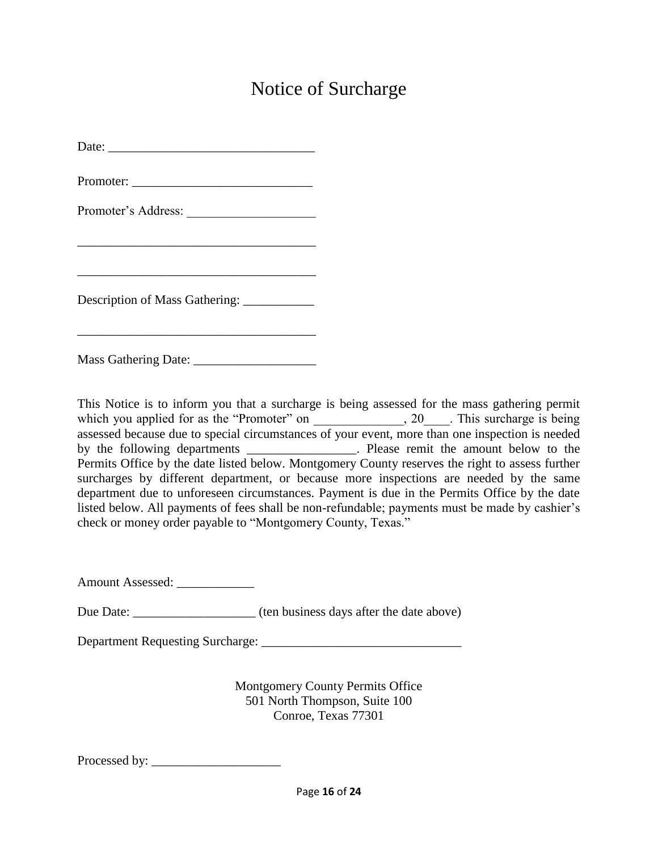# Notice of Surcharge

| Promoter's Address:                        |
|--------------------------------------------|
|                                            |
|                                            |
| Description of Mass Gathering: ___________ |
|                                            |

Mass Gathering Date: \_\_\_\_\_\_\_\_\_\_\_\_\_\_\_\_\_\_\_

This Notice is to inform you that a surcharge is being assessed for the mass gathering permit which you applied for as the "Promoter" on \_\_\_\_\_\_\_\_\_\_\_\_, 20\_\_\_\_. This surcharge is being assessed because due to special circumstances of your event, more than one inspection is needed by the following departments \_\_\_\_\_\_\_\_\_\_\_\_\_\_\_\_\_. Please remit the amount below to the Permits Office by the date listed below. Montgomery County reserves the right to assess further surcharges by different department, or because more inspections are needed by the same department due to unforeseen circumstances. Payment is due in the Permits Office by the date listed below. All payments of fees shall be non-refundable; payments must be made by cashier's check or money order payable to "Montgomery County, Texas."

Amount Assessed: \_\_\_\_\_\_\_\_\_\_\_\_\_

Due Date: \_\_\_\_\_\_\_\_\_\_\_\_\_\_\_\_\_\_\_ (ten business days after the date above)

Department Requesting Surcharge: \_\_\_\_\_\_\_\_\_\_\_\_\_\_\_\_\_\_\_\_\_\_\_\_\_\_\_\_\_\_\_

Montgomery County Permits Office 501 North Thompson, Suite 100 Conroe, Texas 77301

Processed by: \_\_\_\_\_\_\_\_\_\_\_\_\_\_\_\_\_\_\_\_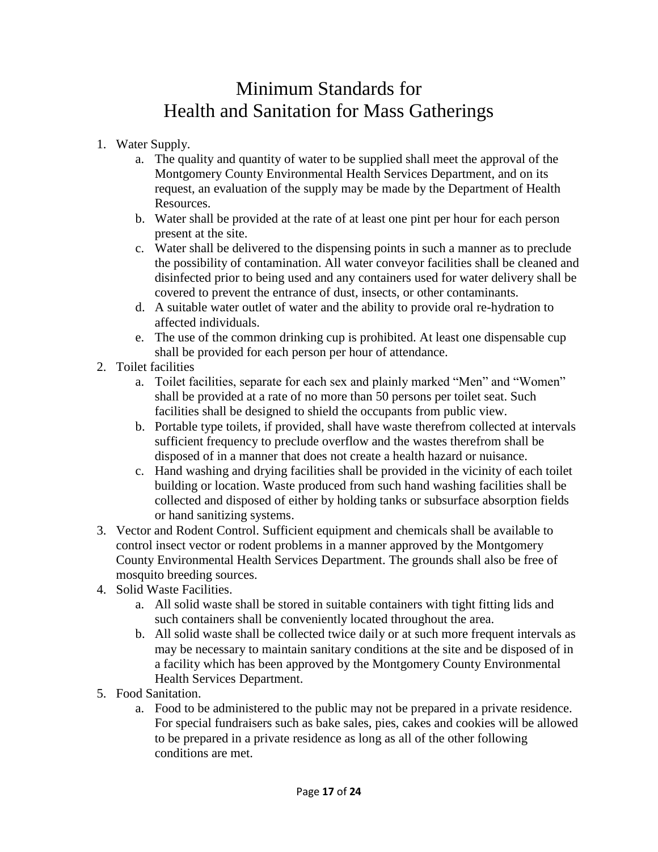# Minimum Standards for Health and Sanitation for Mass Gatherings

- 1. Water Supply.
	- a. The quality and quantity of water to be supplied shall meet the approval of the Montgomery County Environmental Health Services Department, and on its request, an evaluation of the supply may be made by the Department of Health Resources.
	- b. Water shall be provided at the rate of at least one pint per hour for each person present at the site.
	- c. Water shall be delivered to the dispensing points in such a manner as to preclude the possibility of contamination. All water conveyor facilities shall be cleaned and disinfected prior to being used and any containers used for water delivery shall be covered to prevent the entrance of dust, insects, or other contaminants.
	- d. A suitable water outlet of water and the ability to provide oral re-hydration to affected individuals.
	- e. The use of the common drinking cup is prohibited. At least one dispensable cup shall be provided for each person per hour of attendance.
- 2. Toilet facilities
	- a. Toilet facilities, separate for each sex and plainly marked "Men" and "Women" shall be provided at a rate of no more than 50 persons per toilet seat. Such facilities shall be designed to shield the occupants from public view.
	- b. Portable type toilets, if provided, shall have waste therefrom collected at intervals sufficient frequency to preclude overflow and the wastes therefrom shall be disposed of in a manner that does not create a health hazard or nuisance.
	- c. Hand washing and drying facilities shall be provided in the vicinity of each toilet building or location. Waste produced from such hand washing facilities shall be collected and disposed of either by holding tanks or subsurface absorption fields or hand sanitizing systems.
- 3. Vector and Rodent Control. Sufficient equipment and chemicals shall be available to control insect vector or rodent problems in a manner approved by the Montgomery County Environmental Health Services Department. The grounds shall also be free of mosquito breeding sources.
- 4. Solid Waste Facilities.
	- a. All solid waste shall be stored in suitable containers with tight fitting lids and such containers shall be conveniently located throughout the area.
	- b. All solid waste shall be collected twice daily or at such more frequent intervals as may be necessary to maintain sanitary conditions at the site and be disposed of in a facility which has been approved by the Montgomery County Environmental Health Services Department.
- 5. Food Sanitation.
	- a. Food to be administered to the public may not be prepared in a private residence. For special fundraisers such as bake sales, pies, cakes and cookies will be allowed to be prepared in a private residence as long as all of the other following conditions are met.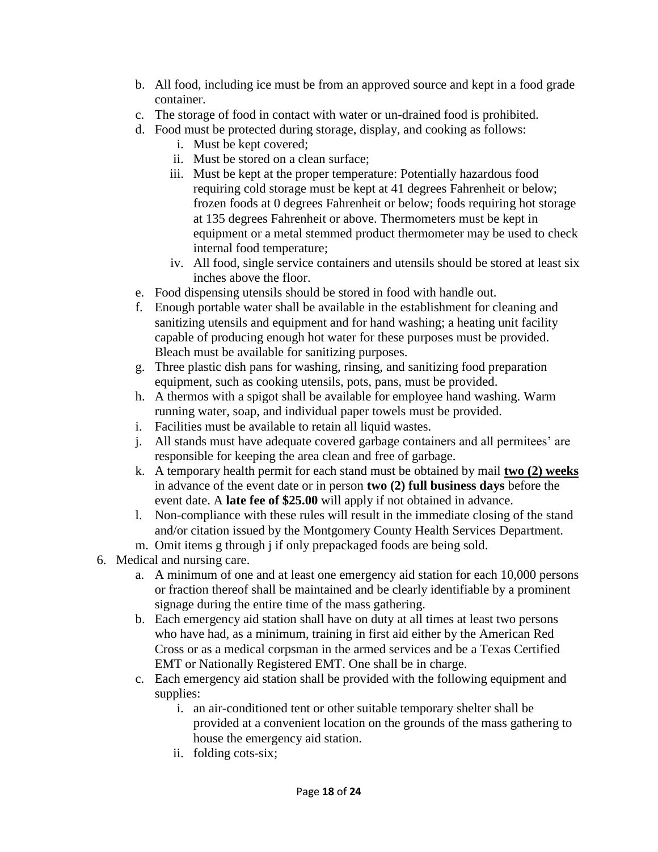- b. All food, including ice must be from an approved source and kept in a food grade container.
- c. The storage of food in contact with water or un-drained food is prohibited.
- d. Food must be protected during storage, display, and cooking as follows:
	- i. Must be kept covered;
	- ii. Must be stored on a clean surface;
	- iii. Must be kept at the proper temperature: Potentially hazardous food requiring cold storage must be kept at 41 degrees Fahrenheit or below; frozen foods at 0 degrees Fahrenheit or below; foods requiring hot storage at 135 degrees Fahrenheit or above. Thermometers must be kept in equipment or a metal stemmed product thermometer may be used to check internal food temperature;
	- iv. All food, single service containers and utensils should be stored at least six inches above the floor.
- e. Food dispensing utensils should be stored in food with handle out.
- f. Enough portable water shall be available in the establishment for cleaning and sanitizing utensils and equipment and for hand washing; a heating unit facility capable of producing enough hot water for these purposes must be provided. Bleach must be available for sanitizing purposes.
- g. Three plastic dish pans for washing, rinsing, and sanitizing food preparation equipment, such as cooking utensils, pots, pans, must be provided.
- h. A thermos with a spigot shall be available for employee hand washing. Warm running water, soap, and individual paper towels must be provided.
- i. Facilities must be available to retain all liquid wastes.
- j. All stands must have adequate covered garbage containers and all permitees' are responsible for keeping the area clean and free of garbage.
- k. A temporary health permit for each stand must be obtained by mail **two (2) weeks** in advance of the event date or in person **two (2) full business days** before the event date. A **late fee of \$25.00** will apply if not obtained in advance.
- l. Non-compliance with these rules will result in the immediate closing of the stand and/or citation issued by the Montgomery County Health Services Department.
- m. Omit items g through j if only prepackaged foods are being sold.
- 6. Medical and nursing care.
	- a. A minimum of one and at least one emergency aid station for each 10,000 persons or fraction thereof shall be maintained and be clearly identifiable by a prominent signage during the entire time of the mass gathering.
	- b. Each emergency aid station shall have on duty at all times at least two persons who have had, as a minimum, training in first aid either by the American Red Cross or as a medical corpsman in the armed services and be a Texas Certified EMT or Nationally Registered EMT. One shall be in charge.
	- c. Each emergency aid station shall be provided with the following equipment and supplies:
		- i. an air-conditioned tent or other suitable temporary shelter shall be provided at a convenient location on the grounds of the mass gathering to house the emergency aid station.
		- ii. folding cots-six;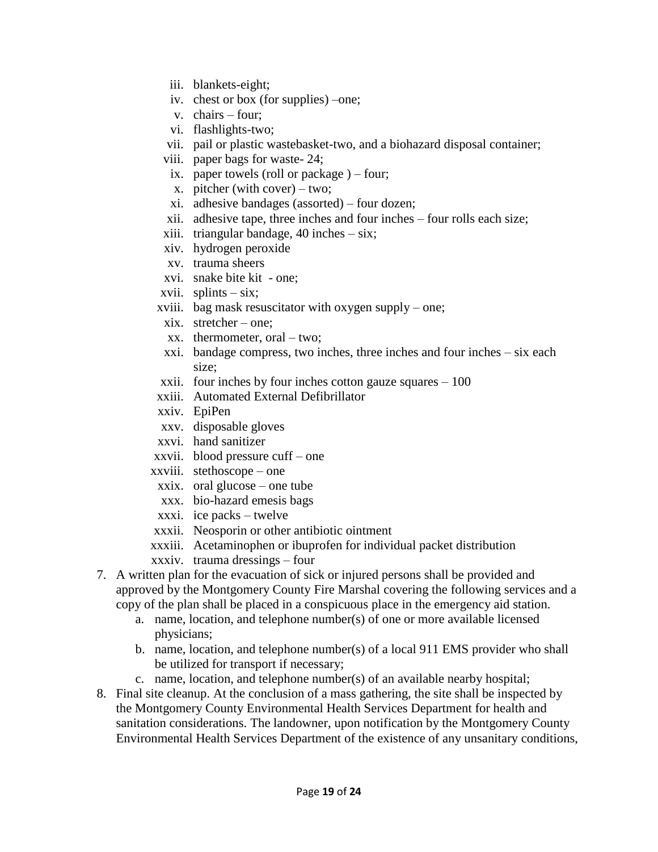- iii. blankets-eight;
- iv. chest or box (for supplies) –one;
- v. chairs four;
- vi. flashlights-two;
- vii. pail or plastic wastebasket-two, and a biohazard disposal container;
- viii. paper bags for waste- 24;
- ix. paper towels (roll or package ) four;
- x. pitcher (with cover) two;
- xi. adhesive bandages (assorted) four dozen;
- xii. adhesive tape, three inches and four inches four rolls each size;
- xiii. triangular bandage, 40 inches six;
- xiv. hydrogen peroxide
- xv. trauma sheers
- xvi. snake bite kit one;
- xvii. splints  $-\text{s}$ ix;
- xviii. bag mask resuscitator with oxygen supply one;
- xix. stretcher one;
- xx. thermometer, oral two;
- xxi. bandage compress, two inches, three inches and four inches six each size;
- xxii. four inches by four inches cotton gauze squares 100
- xxiii. Automated External Defibrillator
- xxiv. EpiPen
- xxv. disposable gloves
- xxvi. hand sanitizer
- xxvii. blood pressure cuff one
- xxviii. stethoscope one
	- xxix. oral glucose one tube
	- xxx. bio-hazard emesis bags
- xxxi. ice packs twelve
- xxxii. Neosporin or other antibiotic ointment
- xxxiii. Acetaminophen or ibuprofen for individual packet distribution
- xxxiv. trauma dressings four
- 7. A written plan for the evacuation of sick or injured persons shall be provided and approved by the Montgomery County Fire Marshal covering the following services and a copy of the plan shall be placed in a conspicuous place in the emergency aid station.
	- a. name, location, and telephone number(s) of one or more available licensed physicians;
	- b. name, location, and telephone number(s) of a local 911 EMS provider who shall be utilized for transport if necessary;
	- c. name, location, and telephone number(s) of an available nearby hospital;
- 8. Final site cleanup. At the conclusion of a mass gathering, the site shall be inspected by the Montgomery County Environmental Health Services Department for health and sanitation considerations. The landowner, upon notification by the Montgomery County Environmental Health Services Department of the existence of any unsanitary conditions,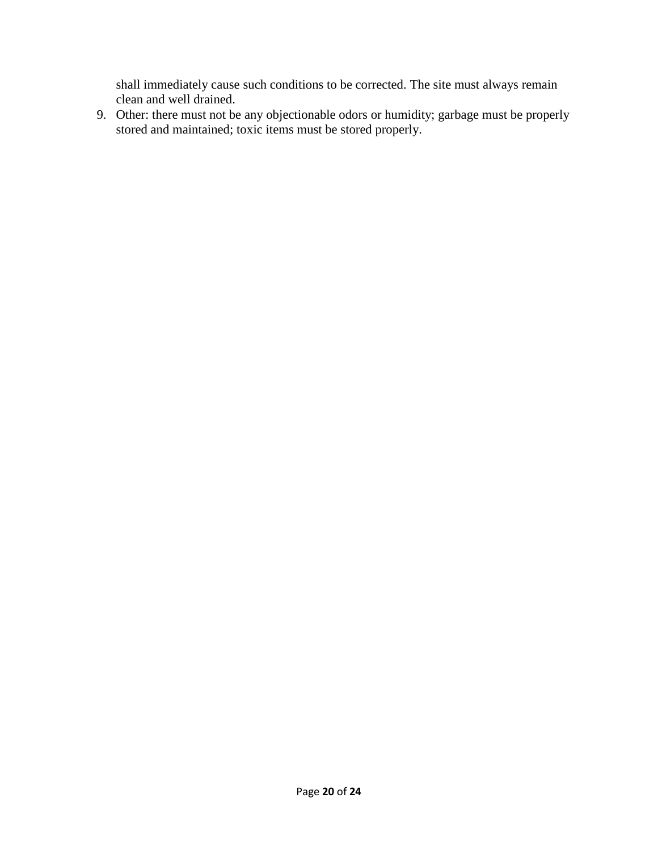shall immediately cause such conditions to be corrected. The site must always remain clean and well drained.

9. Other: there must not be any objectionable odors or humidity; garbage must be properly stored and maintained; toxic items must be stored properly.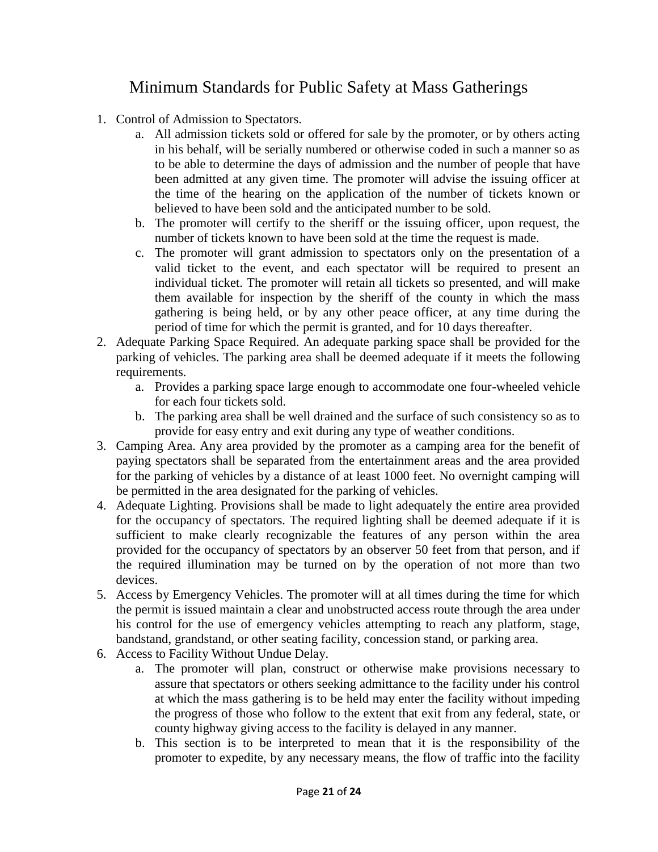# Minimum Standards for Public Safety at Mass Gatherings

- 1. Control of Admission to Spectators.
	- a. All admission tickets sold or offered for sale by the promoter, or by others acting in his behalf, will be serially numbered or otherwise coded in such a manner so as to be able to determine the days of admission and the number of people that have been admitted at any given time. The promoter will advise the issuing officer at the time of the hearing on the application of the number of tickets known or believed to have been sold and the anticipated number to be sold.
	- b. The promoter will certify to the sheriff or the issuing officer, upon request, the number of tickets known to have been sold at the time the request is made.
	- c. The promoter will grant admission to spectators only on the presentation of a valid ticket to the event, and each spectator will be required to present an individual ticket. The promoter will retain all tickets so presented, and will make them available for inspection by the sheriff of the county in which the mass gathering is being held, or by any other peace officer, at any time during the period of time for which the permit is granted, and for 10 days thereafter.
- 2. Adequate Parking Space Required. An adequate parking space shall be provided for the parking of vehicles. The parking area shall be deemed adequate if it meets the following requirements.
	- a. Provides a parking space large enough to accommodate one four-wheeled vehicle for each four tickets sold.
	- b. The parking area shall be well drained and the surface of such consistency so as to provide for easy entry and exit during any type of weather conditions.
- 3. Camping Area. Any area provided by the promoter as a camping area for the benefit of paying spectators shall be separated from the entertainment areas and the area provided for the parking of vehicles by a distance of at least 1000 feet. No overnight camping will be permitted in the area designated for the parking of vehicles.
- 4. Adequate Lighting. Provisions shall be made to light adequately the entire area provided for the occupancy of spectators. The required lighting shall be deemed adequate if it is sufficient to make clearly recognizable the features of any person within the area provided for the occupancy of spectators by an observer 50 feet from that person, and if the required illumination may be turned on by the operation of not more than two devices.
- 5. Access by Emergency Vehicles. The promoter will at all times during the time for which the permit is issued maintain a clear and unobstructed access route through the area under his control for the use of emergency vehicles attempting to reach any platform, stage, bandstand, grandstand, or other seating facility, concession stand, or parking area.
- 6. Access to Facility Without Undue Delay.
	- a. The promoter will plan, construct or otherwise make provisions necessary to assure that spectators or others seeking admittance to the facility under his control at which the mass gathering is to be held may enter the facility without impeding the progress of those who follow to the extent that exit from any federal, state, or county highway giving access to the facility is delayed in any manner.
	- b. This section is to be interpreted to mean that it is the responsibility of the promoter to expedite, by any necessary means, the flow of traffic into the facility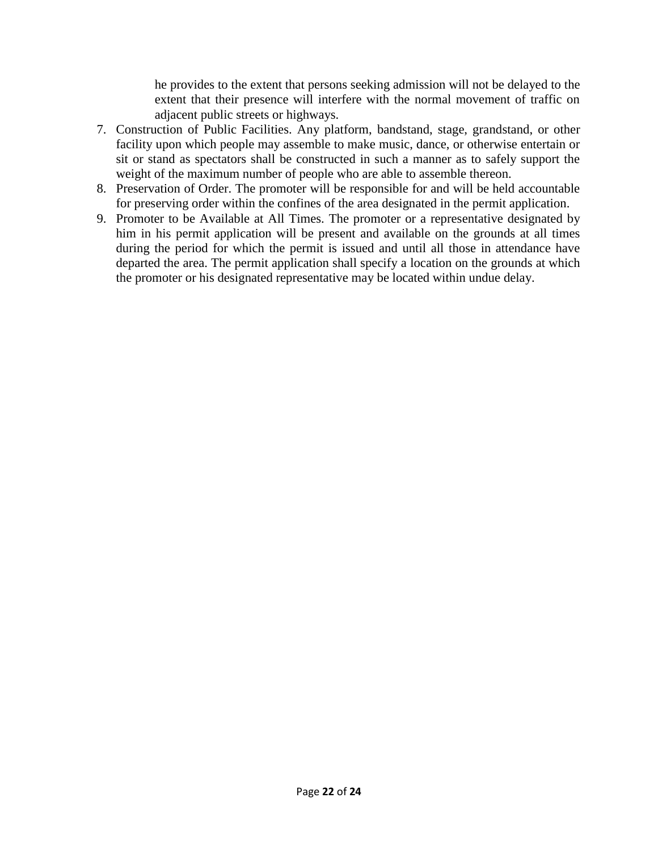he provides to the extent that persons seeking admission will not be delayed to the extent that their presence will interfere with the normal movement of traffic on adjacent public streets or highways.

- 7. Construction of Public Facilities. Any platform, bandstand, stage, grandstand, or other facility upon which people may assemble to make music, dance, or otherwise entertain or sit or stand as spectators shall be constructed in such a manner as to safely support the weight of the maximum number of people who are able to assemble thereon.
- 8. Preservation of Order. The promoter will be responsible for and will be held accountable for preserving order within the confines of the area designated in the permit application.
- 9. Promoter to be Available at All Times. The promoter or a representative designated by him in his permit application will be present and available on the grounds at all times during the period for which the permit is issued and until all those in attendance have departed the area. The permit application shall specify a location on the grounds at which the promoter or his designated representative may be located within undue delay.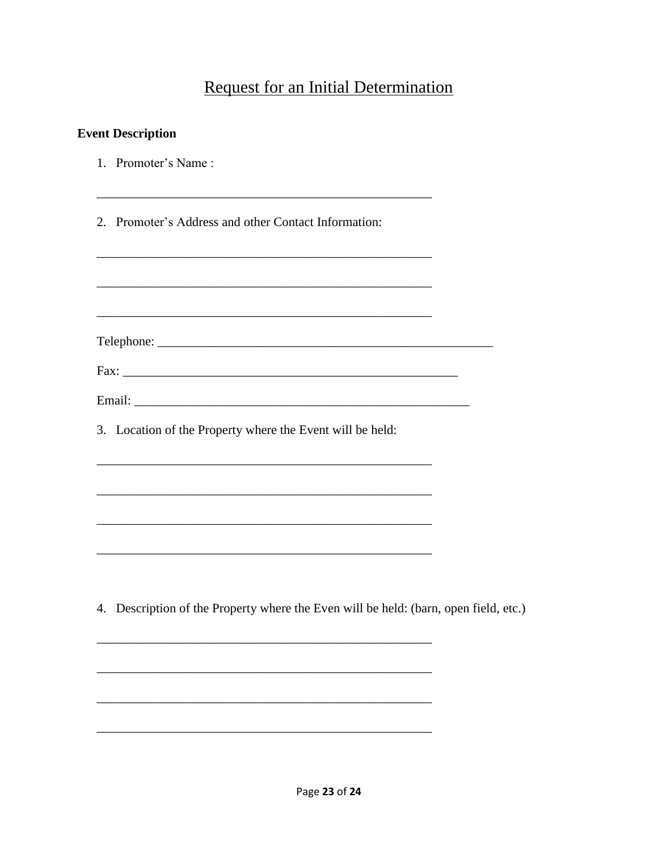## **Request for an Initial Determination**

<u> 1980 - Jan James, margaret eta idazlear (h. 1980).</u>

## **Event Description**

- 1. Promoter's Name:
- 2. Promoter's Address and other Contact Information:
- 
- 3. Location of the Property where the Event will be held:

4. Description of the Property where the Even will be held: (barn, open field, etc.)